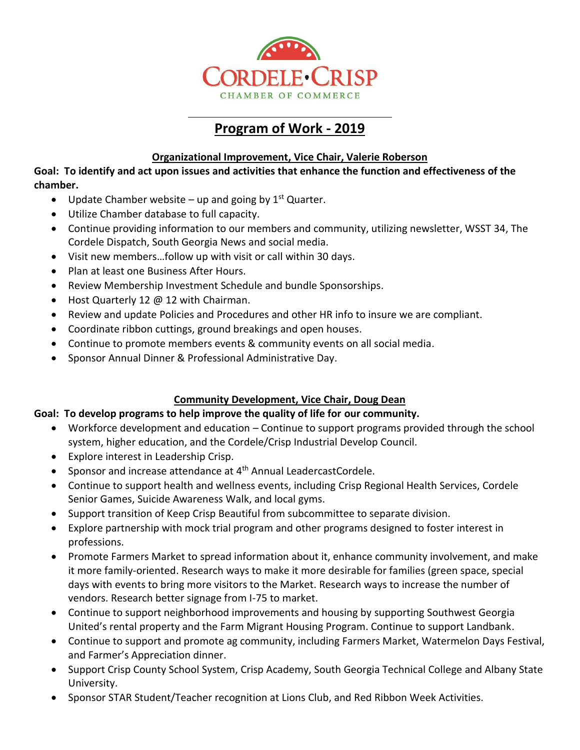

# **Program of Work - 2019**

## **Organizational Improvement, Vice Chair, Valerie Roberson**

**Goal: To identify and act upon issues and activities that enhance the function and effectiveness of the chamber.**

- Update Chamber website up and going by  $1<sup>st</sup>$  Quarter.
- Utilize Chamber database to full capacity.
- Continue providing information to our members and community, utilizing newsletter, WSST 34, The Cordele Dispatch, South Georgia News and social media.
- Visit new members…follow up with visit or call within 30 days.
- Plan at least one Business After Hours.
- Review Membership Investment Schedule and bundle Sponsorships.
- Host Quarterly 12 @ 12 with Chairman.
- Review and update Policies and Procedures and other HR info to insure we are compliant.
- Coordinate ribbon cuttings, ground breakings and open houses.
- Continue to promote members events & community events on all social media.
- Sponsor Annual Dinner & Professional Administrative Day.

# **Community Development, Vice Chair, Doug Dean**

# **Goal: To develop programs to help improve the quality of life for our community.**

- Workforce development and education Continue to support programs provided through the school system, higher education, and the Cordele/Crisp Industrial Develop Council.
- Explore interest in Leadership Crisp.
- Sponsor and increase attendance at  $4<sup>th</sup>$  Annual LeadercastCordele.
- Continue to support health and wellness events, including Crisp Regional Health Services, Cordele Senior Games, Suicide Awareness Walk, and local gyms.
- Support transition of Keep Crisp Beautiful from subcommittee to separate division.
- Explore partnership with mock trial program and other programs designed to foster interest in professions.
- Promote Farmers Market to spread information about it, enhance community involvement, and make it more family-oriented. Research ways to make it more desirable for families (green space, special days with events to bring more visitors to the Market. Research ways to increase the number of vendors. Research better signage from I-75 to market.
- Continue to support neighborhood improvements and housing by supporting Southwest Georgia United's rental property and the Farm Migrant Housing Program. Continue to support Landbank.
- Continue to support and promote ag community, including Farmers Market, Watermelon Days Festival, and Farmer's Appreciation dinner.
- Support Crisp County School System, Crisp Academy, South Georgia Technical College and Albany State University.
- Sponsor STAR Student/Teacher recognition at Lions Club, and Red Ribbon Week Activities.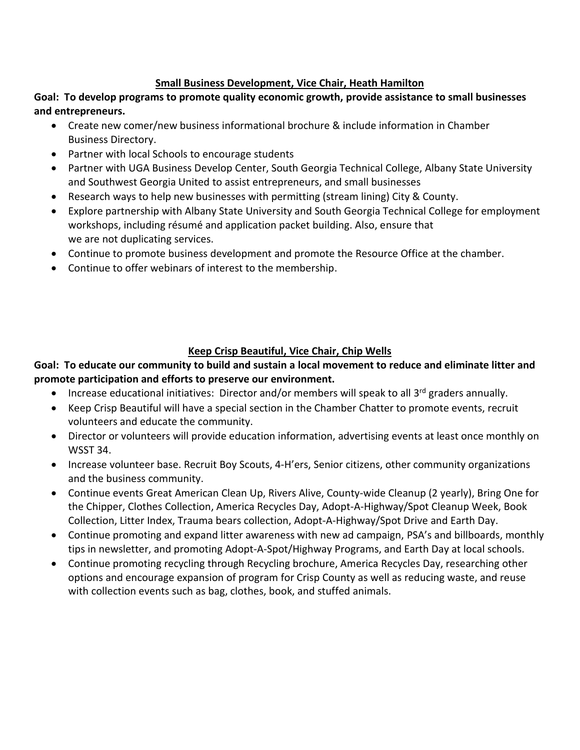#### **Small Business Development, Vice Chair, Heath Hamilton**

**Goal: To develop programs to promote quality economic growth, provide assistance to small businesses and entrepreneurs.**

- Create new comer/new business informational brochure & include information in Chamber Business Directory.
- Partner with local Schools to encourage students
- Partner with UGA Business Develop Center, South Georgia Technical College, Albany State University and Southwest Georgia United to assist entrepreneurs, and small businesses
- Research ways to help new businesses with permitting (stream lining) City & County.
- Explore partnership with Albany State University and South Georgia Technical College for employment workshops, including résumé and application packet building. Also, ensure that we are not duplicating services.
- Continue to promote business development and promote the Resource Office at the chamber.
- Continue to offer webinars of interest to the membership.

### **Keep Crisp Beautiful, Vice Chair, Chip Wells**

## **Goal: To educate our community to build and sustain a local movement to reduce and eliminate litter and promote participation and efforts to preserve our environment.**

- Increase educational initiatives: Director and/or members will speak to all 3<sup>rd</sup> graders annually.
- Keep Crisp Beautiful will have a special section in the Chamber Chatter to promote events, recruit volunteers and educate the community.
- Director or volunteers will provide education information, advertising events at least once monthly on WSST 34.
- Increase volunteer base. Recruit Boy Scouts, 4-H'ers, Senior citizens, other community organizations and the business community.
- Continue events Great American Clean Up, Rivers Alive, County-wide Cleanup (2 yearly), Bring One for the Chipper, Clothes Collection, America Recycles Day, Adopt-A-Highway/Spot Cleanup Week, Book Collection, Litter Index, Trauma bears collection, Adopt-A-Highway/Spot Drive and Earth Day.
- Continue promoting and expand litter awareness with new ad campaign, PSA's and billboards, monthly tips in newsletter, and promoting Adopt-A-Spot/Highway Programs, and Earth Day at local schools.
- Continue promoting recycling through Recycling brochure, America Recycles Day, researching other options and encourage expansion of program for Crisp County as well as reducing waste, and reuse with collection events such as bag, clothes, book, and stuffed animals.